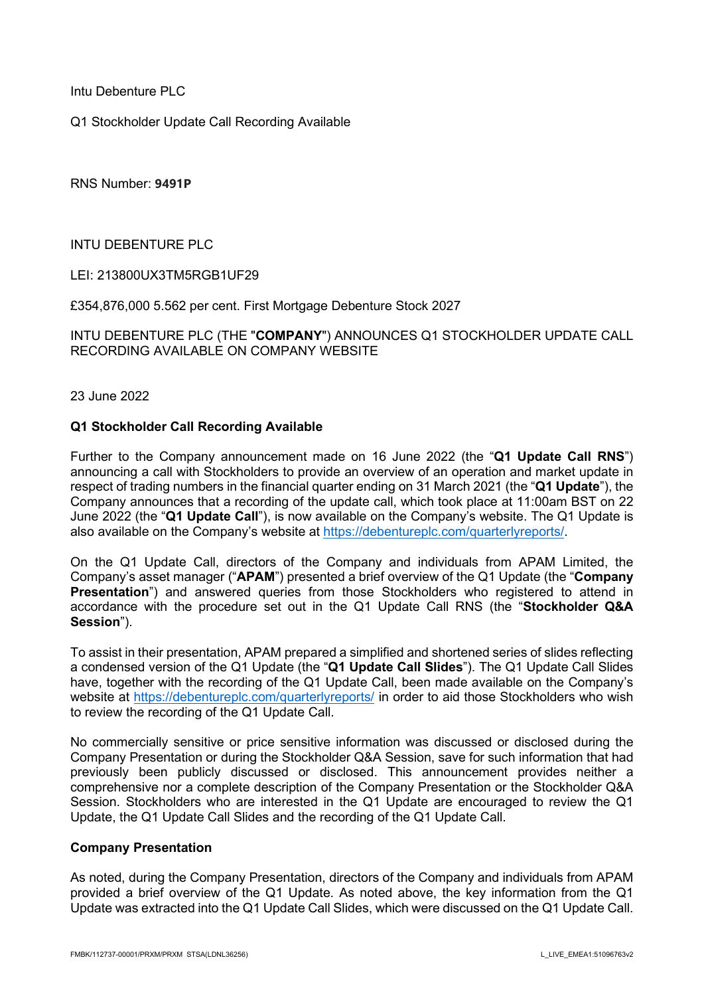Intu Debenture PLC

Q1 Stockholder Update Call Recording Available

RNS Number: **9491P**

INTU DEBENTURE PLC

LEI: 213800UX3TM5RGB1UF29

£354,876,000 5.562 per cent. First Mortgage Debenture Stock 2027

INTU DEBENTURE PLC (THE "**COMPANY**") ANNOUNCES Q1 STOCKHOLDER UPDATE CALL RECORDING AVAILABLE ON COMPANY WEBSITE

23 June 2022

## **Q1 Stockholder Call Recording Available**

Further to the Company announcement made on 16 June 2022 (the "**Q1 Update Call RNS**") announcing a call with Stockholders to provide an overview of an operation and market update in respect of trading numbers in the financial quarter ending on 31 March 2021 (the "**Q1 Update**"), the Company announces that a recording of the update call, which took place at 11:00am BST on 22 June 2022 (the "**Q1 Update Call**"), is now available on the Company's website. The Q1 Update is also available on the Company's website at [https://debentureplc.com/quarterlyreports/.](https://debentureplc.com/quarterlyreports/)

On the Q1 Update Call, directors of the Company and individuals from APAM Limited, the Company's asset manager ("**APAM**") presented a brief overview of the Q1 Update (the "**Company Presentation**") and answered queries from those Stockholders who registered to attend in accordance with the procedure set out in the Q1 Update Call RNS (the "**Stockholder Q&A Session**").

To assist in their presentation, APAM prepared a simplified and shortened series of slides reflecting a condensed version of the Q1 Update (the "**Q1 Update Call Slides**"). The Q1 Update Call Slides have, together with the recording of the Q1 Update Call, been made available on the Company's website at<https://debentureplc.com/quarterlyreports/> in order to aid those Stockholders who wish to review the recording of the Q1 Update Call.

No commercially sensitive or price sensitive information was discussed or disclosed during the Company Presentation or during the Stockholder Q&A Session, save for such information that had previously been publicly discussed or disclosed. This announcement provides neither a comprehensive nor a complete description of the Company Presentation or the Stockholder Q&A Session. Stockholders who are interested in the Q1 Update are encouraged to review the Q1 Update, the Q1 Update Call Slides and the recording of the Q1 Update Call.

#### **Company Presentation**

As noted, during the Company Presentation, directors of the Company and individuals from APAM provided a brief overview of the Q1 Update. As noted above, the key information from the Q1 Update was extracted into the Q1 Update Call Slides, which were discussed on the Q1 Update Call.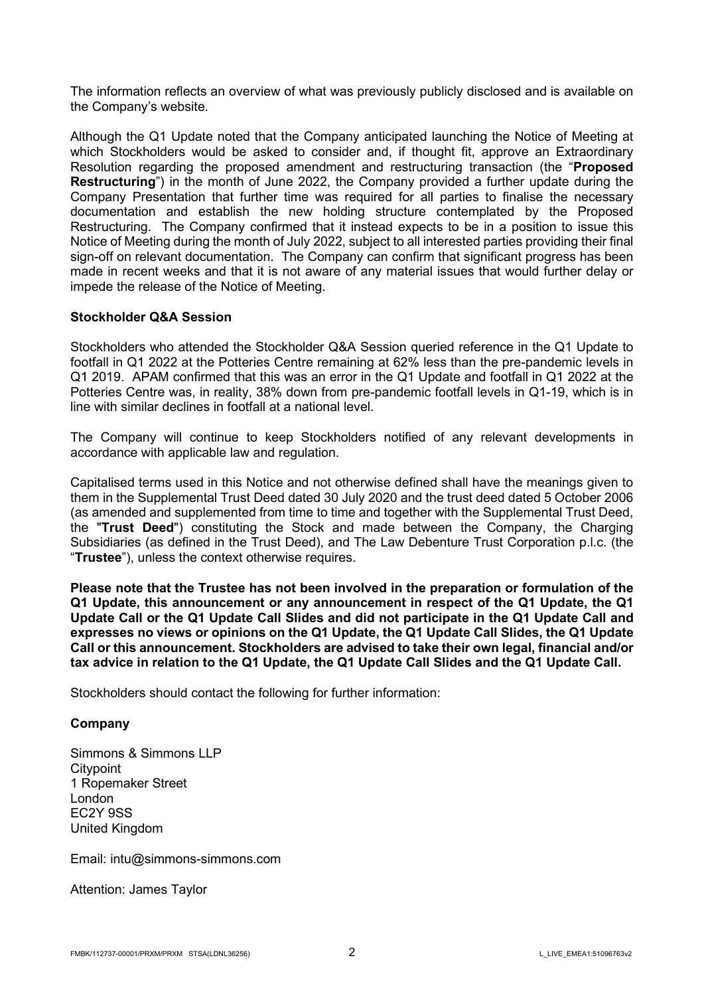The information reflects an overview of what was previously publicly disclosed and is available on the Company's website.

Although the Q1 Update noted that the Company anticipated launching the Notice of Meeting at which Stockholders would be asked to consider and, if thought fit, approve an Extraordinary Resolution regarding the proposed amendment and restructuring transaction (the "**Proposed Restructuring**") in the month of June 2022, the Company provided a further update during the Company Presentation that further time was required for all parties to finalise the necessary documentation and establish the new holding structure contemplated by the Proposed Restructuring. The Company confirmed that it instead expects to be in a position to issue this Notice of Meeting during the month of July 2022, subject to all interested parties providing their final sign-off on relevant documentation. The Company can confirm that significant progress has been made in recent weeks and that it is not aware of any material issues that would further delay or impede the release of the Notice of Meeting.

## **Stockholder Q&A Session**

Stockholders who attended the Stockholder Q&A Session queried reference in the Q1 Update to footfall in Q1 2022 at the Potteries Centre remaining at 62% less than the pre-pandemic levels in Q1 2019. APAM confirmed that this was an error in the Q1 Update and footfall in Q1 2022 at the Potteries Centre was, in reality, 38% down from pre-pandemic footfall levels in Q1-19, which is in line with similar declines in footfall at a national level.

The Company will continue to keep Stockholders notified of any relevant developments in accordance with applicable law and regulation.

Capitalised terms used in this Notice and not otherwise defined shall have the meanings given to them in the Supplemental Trust Deed dated 30 July 2020 and the trust deed dated 5 October 2006 (as amended and supplemented from time to time and together with the Supplemental Trust Deed, the "**Trust Deed**") constituting the Stock and made between the Company, the Charging Subsidiaries (as defined in the Trust Deed), and The Law Debenture Trust Corporation p.l.c. (the "**Trustee**"), unless the context otherwise requires.

**Please note that the Trustee has not been involved in the preparation or formulation of the Q1 Update, this announcement or any announcement in respect of the Q1 Update, the Q1 Update Call or the Q1 Update Call Slides and did not participate in the Q1 Update Call and expresses no views or opinions on the Q1 Update, the Q1 Update Call Slides, the Q1 Update Call or this announcement. Stockholders are advised to take their own legal, financial and/or tax advice in relation to the Q1 Update, the Q1 Update Call Slides and the Q1 Update Call.** 

Stockholders should contact the following for further information:

#### **Company**

Simmons & Simmons LLP **Citypoint** 1 Ropemaker Street London EC2Y 9SS United Kingdom

Email: intu@simmons-simmons.com

Attention: James Taylor